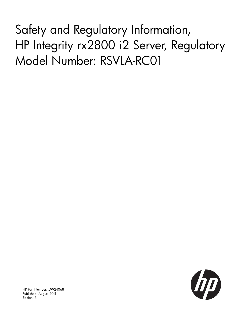Safety and Regulatory Information, HP Integrity rx2800 i2 Server, Regulatory Model Number: RSVLA-RC01



HP Part Number: 5992-1068 Published: August 2011 Edition: 3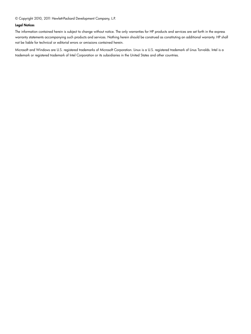© Copyright 2010, 2011 Hewlett-Packard Development Company, L.P.

#### Legal Notices

The information contained herein is subject to change without notice. The only warranties for HP products and services are set forth in the express warranty statements accompanying such products and services. Nothing herein should be construed as constituting an additional warranty. HP shall not be liable for technical or editorial errors or omissions contained herein.

Microsoft and Windows are U.S. registered trademarks of Microsoft Corporation. Linux is a U.S. registered trademark of Linus Torvalds. Intel is a trademark or registered trademark of Intel Corporation or its subsidiaries in the United States and other countries.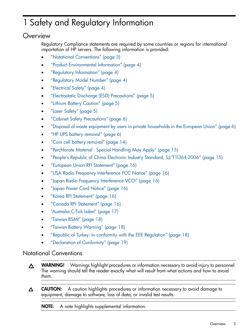# 1 Safety and Regulatory Information

# **Overview**

Regulatory Compliance statements are required by some countries or regions for international importation of HP servers. The following information is provided:

- "Notational [Conventions"](#page-2-0) (page 3)
- "Product [Environmental](#page-3-0) Information" (page 4)
- "Regulatory [Information"](#page-3-1) (page 4)
- ["Regulatory](#page-3-2) Model Number" (page 4)
- ["Electrical](#page-3-3) Safety" (page 4)
- ["Electrostatic](#page-4-0) Discharge (ESD) Precautions" (page 5)
- "Lithium Battery [Caution"](#page-4-1) (page 5)
- "Laser [Safety"](#page-4-2) (page 5)
- "Cabinet Safety [Precautions"](#page-5-0) (page 6)
- "Disposal of waste equipment by users in private [households](#page-5-1) in the European Union" (page 6)
- "HP UPS battery [removal"](#page-5-2) (page 6)
- "Coin cell battery [removal"](#page-13-0) (page 14)
- ["Perchlorate](#page-14-0) Material Special Handling May Apply" (page 15)
- "People's Republic of China Electronic Industry Standard, [SJ/T11364-2006"](#page-14-1) (page 15)
- "European Union RFI [Statement"](#page-15-0) (page 16)
- "USA Radio Frequency [Interference](#page-15-1) FCC Notice" (page 16)
- "Japan Radio Frequency [Interference](#page-15-2) VCCI" (page 16)
- "Japan Power Cord [Notice"](#page-15-3) (page 16)
- "Korea RFI [Statement"](#page-15-4) (page 16)
- "Canada RFI [Statement"](#page-15-5) (page 16)
- ["Australia](#page-16-0) C-Tick Label" (page 17)
- ["Taiwan](#page-17-0) BSMI" (page 18)
- <span id="page-2-0"></span>• "Taiwan Battery [Warning"](#page-17-1) (page 18)
- "Republic of Turkey: In conformity with the EEE [Regulation"](#page-17-2) (page 18)
- ["Declaration](#page-18-0) of Conformity" (page 19)

## Notational Conventions

- WARNING! Warnings highlight procedures or information necessary to avoid injury to personnel. Δ The warning should tell the reader exactly what will result from what actions and how to avoid them.
- CAUTION: A caution highlights procedures or information necessary to avoid damage to Δ equipment, damage to software, loss of data, or invalid test results.

NOTE: A note highlights supplemental information.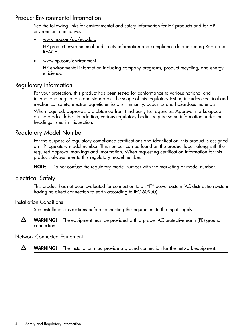# Product Environmental Information

<span id="page-3-0"></span>See the following links for environmental and safety information for HP products and for HP environmental initiatives:

• [www.hp.com/go/ecodata](http://www.hp.com/hpinfo/globalcitizenship/environment/products/msds-specs.html)

HP product environmental and safety information and compliance data including RoHS and REACH.

• [www.hp.com/environment](http://www.hp.com/hpinfo/environment/index.html)

<span id="page-3-1"></span>HP environmental information including company programs, product recycling, and energy efficiency.

## Regulatory Information

For your protection, this product has been tested for conformance to various national and international regulations and standards. The scope of this regulatory testing includes electrical and mechanical safety, electromagnetic emissions, immunity, acoustics and hazardous materials.

<span id="page-3-2"></span>When required, approvals are obtained from third party test agencies. Approval marks appear on the product label. In addition, various regulatory bodies require some information under the headings listed in this section.

## Regulatory Model Number

For the purpose of regulatory compliance certifications and identification, this product is assigned an HP regulatory model number. This number can be found on the product label, along with the required approval markings and information. When requesting certification information for this product, always refer to this regulatory model number.

<span id="page-3-3"></span>NOTE: Do not confuse the regulatory model number with the marketing or model number.

## Electrical Safety

This product has not been evaluated for connection to an "IT" power system (AC distribution system having no direct connection to earth according to IEC 60950).

Installation Conditions

See installation instructions before connecting this equipment to the input supply.

Δ WARNING! The equipment must be provided with a proper AC protective earth (PE) ground connection.

#### Network Connected Equipment

Δ WARNING! The installation must provide a ground connection for the network equipment.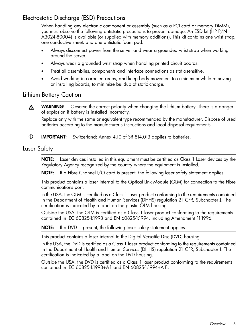# Electrostatic Discharge (ESD) Precautions

<span id="page-4-0"></span>When handling any electronic component or assembly (such as a PCI card or memory DIMM), you must observe the following antistatic precautions to prevent damage. An ESD kit (HP P/N A3024-80004) is available (or supplied with memory additions). This kit contains one wrist strap, one conductive sheet, and one antistatic foam pad.

- Always disconnect power from the server and wear a grounded wrist strap when working around the server.
- Always wear a grounded wrist strap when handling printed circuit boards.
- Treat all assemblies, components and interface connections as static-sensitive.
- <span id="page-4-1"></span>• Avoid working in carpeted areas, and keep body movement to a minimum while removing or installing boards, to minimize buildup of static charge.

#### Lithium Battery Caution

WARNING! Observe the correct polarity when changing the lithium battery. There is a danger  $\Delta$ of explosion if battery is installed incorrectly.

Replace only with the same or equivalent type recommended by the manufacturer. Dispose of used batteries according to the manufacturer's instructions and local disposal requirements.

<span id="page-4-2"></span> $\circled{r}$ IMPORTANT: Switzerland: Annex 4.10 of SR 814.013 applies to batteries.

#### Laser Safety

NOTE: Laser devices installed in this equipment must be certified as Class 1 Laser devices by the Regulatory Agency recognized by the country where the equipment is installed.

NOTE: If a Fibre Channel I/O card is present, the following laser safety statement applies.

This product contains a laser internal to the Optical Link Module (OLM) for connection to the Fibre communications port.

In the USA, the OLM is certified as a Class 1 laser product conforming to the requirements contained in the Department of Health and Human Services (DHHS) regulation 21 CFR, Subchapter J. The certification is indicated by a label on the plastic OLM housing.

Outside the USA, the OLM is certified as a Class 1 laser product conforming to the requirements contained in IEC 60825-1:1993 and EN 60825-1:1994, including Amendment 11:1996.

NOTE: If a DVD is present, the following laser safety statement applies.

This product contains a laser internal to the Digital Versatile Disc (DVD) housing.

In the USA, the DVD is certified as a Class 1 laser product conforming to the requirements contained in the Department of Health and Human Services (DHHS) regulation 21 CFR, Subchapter J. The certification is indicated by a label on the DVD housing.

Outside the USA, the DVD is certified as a Class 1 laser product conforming to the requirements contained in IEC 60825-1:1993+A1 and EN 60825-1:1994+A11.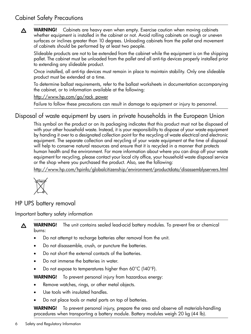# <span id="page-5-0"></span>Cabinet Safety Precautions

WARNING! Cabinets are heavy even when empty. Exercise caution when moving cabinets Δ whether equipment is installed in the cabinet or not. Avoid rolling cabinets on rough or uneven surfaces or inclines greater than 10 degrees. Unloading cabinets from the pallet and movement of cabinets should be performed by at least two people.

Slideable products are not to be extended from the cabinet while the equipment is on the shipping pallet. The cabinet must be unloaded from the pallet and all anti-tip devices properly installed prior to extending any slideable product.

Once installed, all anti-tip devices must remain in place to maintain stability. Only one slideable product must be extended at a time.

To determine ballast requirements, refer to the ballast worksheets in documentation accompanying the cabinet, or to information available at the following:

[http://www.hp.com/go/rack\\_power](http://h18004.www1.hp.com/products/servers/platforms/rackandpower.html)

<span id="page-5-1"></span>Failure to follow these precautions can result in damage to equipment or injury to personnel.

# Disposal of waste equipment by users in private households in the European Union

This symbol on the product or on its packaging indicates that this product must not be disposed of with your other household waste. Instead, it is your responsibility to dispose of your waste equipment by handing it over to a designated collection point for the recycling of waste electrical and electronic equipment. The separate collection and recycling of your waste equipment at the time of disposal will help to conserve natural resources and ensure that it is recycled in a manner that protects human health and the environment. For more information about where you can drop off your waste equipment for recycling, please contact your local city office, your household waste disposal service or the shop where you purchased the product. Also, see the following:

<http://www.hp.com/hpinfo/globalcitizenship/environment/productdata/disassemblyservers.html>

<span id="page-5-2"></span>

 $\Delta$ 

HP UPS battery removal

Important battery safety information

WARNING! The unit contains sealed lead-acid battery modules. To prevent fire or chemical burns:

- Do not attempt to recharge batteries after removal from the unit.
- Do not disassemble, crush, or puncture the batteries.
- Do not short the external contacts of the batteries.
- Do not immerse the batteries in water.
- Do not expose to temperatures higher than 60°C (140°F).

WARNING! To prevent personal injury from hazardous energy:

- Remove watches, rings, or other metal objects.
- Use tools with insulated handles.
- Do not place tools or metal parts on top of batteries.

WARNING! To prevent personal injury, prepare the area and observe all materials-handling procedures when transporting a battery module. Battery modules weigh 20 kg (44 lb).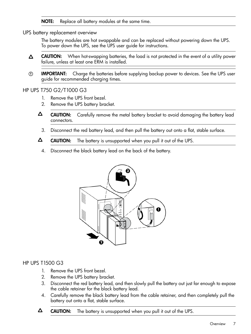NOTE: Replace all battery modules at the same time.

UPS battery replacement overview

The battery modules are hot swappable and can be replaced without powering down the UPS. To power down the UPS, see the UPS user guide for instructions.

- CAUTION: When hot-swapping batteries, the load is not protected in the event of a utility power  $\Delta$ failure, unless at least one ERM is installed.
- IMPORTANT: Charge the batteries before supplying backup power to devices. See the UPS user  $\mathbb{O}$ guide for recommended charging times.

#### HP UPS T750 G2/T1000 G3

- 1. Remove the UPS front bezel.
- 2. Remove the UPS battery bracket.
- $\Delta$ CAUTION: Carefully remove the metal battery bracket to avoid damaging the battery lead connectors.
	- 3. Disconnect the red battery lead, and then pull the battery out onto a flat, stable surface.
- Δ CAUTION: The battery is unsupported when you pull it out of the UPS.
	- 4. Disconnect the black battery lead on the back of the battery.



#### HP UPS T1500 G3

- 1. Remove the UPS front bezel.
- 2. Remove the UPS battery bracket.
- 3. Disconnect the red battery lead, and then slowly pull the battery out just far enough to expose the cable retainer for the black battery lead.
- 4. Carefully remove the black battery lead from the cable retainer, and then completely pull the battery out onto a flat, stable surface.
- Δ CAUTION: The battery is unsupported when you pull it out of the UPS.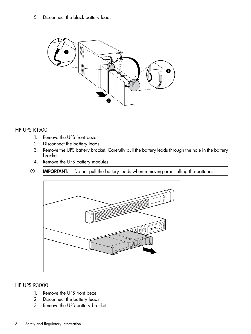5. Disconnect the black battery lead.



#### HP UPS R1500

- 1. Remove the UPS front bezel.
- 2. Disconnect the battery leads.
- 3. Remove the UPS battery bracket. Carefully pull the battery leads through the hole in the battery bracket.
- 4. Remove the UPS battery modules.
- $\odot$ IMPORTANT: Do not pull the battery leads when removing or installing the batteries.



#### HP UPS R3000

- 1. Remove the UPS front bezel.
- 2. Disconnect the battery leads.
- 3. Remove the UPS battery bracket.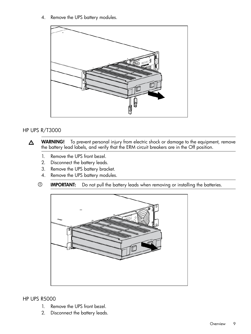4. Remove the UPS battery modules.



#### HP UPS R/T3000

WARNING! To prevent personal injury from electric shock or damage to the equipment, remove  $\Delta$ the battery lead labels, and verify that the ERM circuit breakers are in the Off position.

- 1. Remove the UPS front bezel.
- 2. Disconnect the battery leads.
- 3. Remove the UPS battery bracket.
- 4. Remove the UPS battery modules.
- $\odot$ IMPORTANT: Do not pull the battery leads when removing or installing the batteries.



HP UPS R5000

- 1. Remove the UPS front bezel.
- 2. Disconnect the battery leads.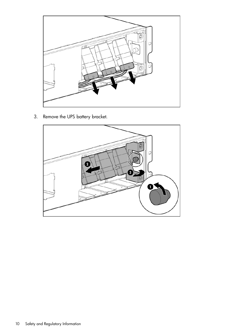

3. Remove the UPS battery bracket.

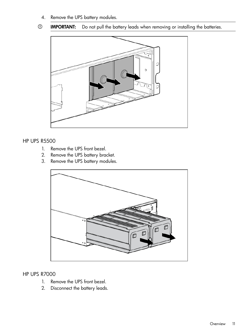4. Remove the UPS battery modules.

#### $\odot$ IMPORTANT: Do not pull the battery leads when removing or installing the batteries.



#### HP UPS R5500

- 1. Remove the UPS front bezel.
- 2. Remove the UPS battery bracket.
- 3. Remove the UPS battery modules.



#### HP UPS R7000

- 1. Remove the UPS front bezel.
- 2. Disconnect the battery leads.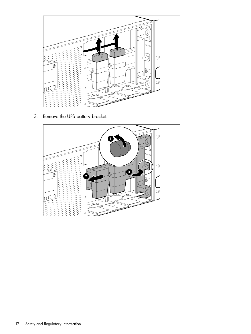

3. Remove the UPS battery bracket.

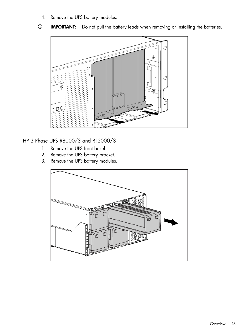- 4. Remove the UPS battery modules.
- $\odot$ IMPORTANT: Do not pull the battery leads when removing or installing the batteries.



HP 3 Phase UPS R8000/3 and R12000/3

- 1. Remove the UPS front bezel.
- 2. Remove the UPS battery bracket.
- 3. Remove the UPS battery modules.

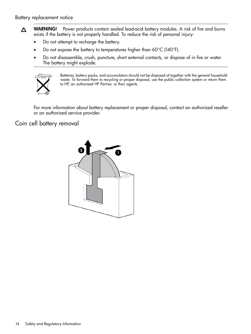- WARNING! Power products contain sealed lead-acid battery modules. A risk of fire and burns  $\Delta$ exists if the battery is not properly handled. To reduce the risk of personal injury:
	- Do not attempt to recharge the battery.
	- Do not expose the battery to temperatures higher than 60 $^{\circ}$ C (140 $^{\circ}$ F).
	- Do not disassemble, crush, puncture, short external contacts, or dispose of in fire or water. The battery might explode.



Batteries, battery packs, and accumulators should not be disposed of together with the general household waste. To forward them to recycling or proper disposal, use the public collection system or return them to HP, an authorized HP Partner, or their agents.

<span id="page-13-0"></span>For more information about battery replacement or proper disposal, contact an authorized reseller or an authorized service provider.

# Coin cell battery removal

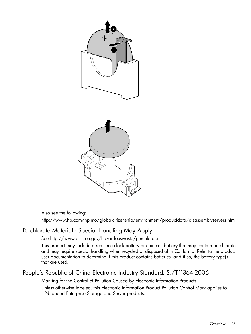

<span id="page-14-0"></span>Also see the following:

<http://www.hp.com/hpinfo/globalcitizenship/environment/productdata/disassemblyservers.html>

# Perchlorate Material - Special Handling May Apply

See [http://www.dtsc.ca.gov/hazardouswaste/perchlorate.](http://www.dtsc.ca.gov/hazardouswaste/perchlorate)

<span id="page-14-1"></span>This product may include a real-time clock battery or coin cell battery that may contain perchlorate and may require special handling when recycled or disposed of in California. Refer to the product user documentation to determine if this product contains batteries, and if so, the battery type(s) that are used.

# People's Republic of China Electronic Industry Standard, SJ/T11364-2006

Marking for the Control of Pollution Caused by Electronic Information Products Unless otherwise labeled, this Electronic Information Product Pollution Control Mark applies to HP-branded Enterprise Storage and Server products.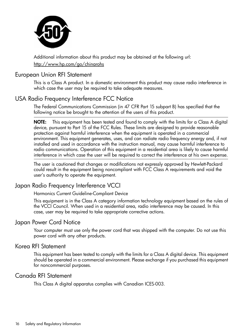

<span id="page-15-0"></span>Additional information about this product may be obtained at the following url: <http://www.hp.com/go/chinarohs>

#### European Union RFI Statement

<span id="page-15-1"></span>This is a Class A product. In a domestic environment this product may cause radio interference in which case the user may be required to take adequate measures.

# USA Radio Frequency Interference FCC Notice

The Federal Communications Commission (in 47 CFR Part 15 subpart B) has specified that the following notice be brought to the attention of the users of this product.

NOTE: This equipment has been tested and found to comply with the limits for a Class A digital device, pursuant to Part 15 of the FCC Rules. These limits are designed to provide reasonable protection against harmful interference when the equipment is operated in a commercial environment. This equipment generates, uses, and can radiate radio frequency energy and, if not installed and used in accordance with the instruction manual, may cause harmful interference to radio communications. Operation of this equipment in a residential area is likely to cause harmful interference in which case the user will be required to correct the interference at his own expense.

<span id="page-15-2"></span>The user is cautioned that changes or modifications not expressly approved by Hewlett-Packard could result in the equipment being noncompliant with FCC Class A requirements and void the user's authority to operate the equipment.

# Japan Radio Frequency Interference VCCI

<span id="page-15-3"></span>Harmonics Current Guideline-Compliant Device

This equipment is in the Class A category information technology equipment based on the rules of the VCCI Council. When used in a residential area, radio interference may be caused. In this case, user may be required to take appropriate corrective actions.

## Japan Power Cord Notice

<span id="page-15-4"></span>Your computer must use only the power cord that was shipped with the computer. Do not use this power cord with any other products.

#### Korea RFI Statement

<span id="page-15-5"></span>This equipment has been tested to comply with the limits for a Class A digital device. This equipment should be operated in a commercial environment. Please exchange if you purchased this equipment for noncommercial purposes.

## Canada RFI Statement

This Class A digital apparatus complies with Canadian ICES-003.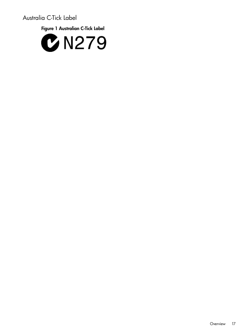Australia C-Tick Label

<span id="page-16-0"></span>Figure 1 Australian C-Tick Label

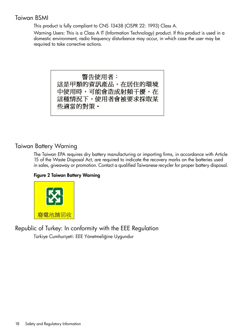# Taiwan BSMI

<span id="page-17-0"></span>This product is fully compliant to CNS 13438 (CISPR 22: 1993) Class A.

Warning Users: This is a Class A IT (Information Technology) product. If this product is used in a domestic environment, radio frequency disturbance may occur, in which case the user may be required to take corrective actions.

> 警告使用者: 這是甲類的資訊產品,在居住的環境 中使用時,可能會造成射頻干擾,在 這種情況下,使用者會被要求採取某 些適當的對策。

## <span id="page-17-1"></span>Taiwan Battery Warning

The Taiwan EPA requires dry battery manufacturing or importing firms, in accordance with Article 15 of the Waste Disposal Act, are required to indicate the recovery marks on the batteries used in sales, giveaway or promotion. Contact a qualified Taiwanese recycler for proper battery disposal.

#### Figure 2 Taiwan Battery Warning

<span id="page-17-2"></span>

Republic of Turkey: In conformity with the EEE Regulation Türkiye Cumhuriyeti: EEE Yönetmeliğine Uygundur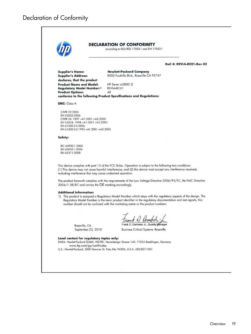<span id="page-18-0"></span>